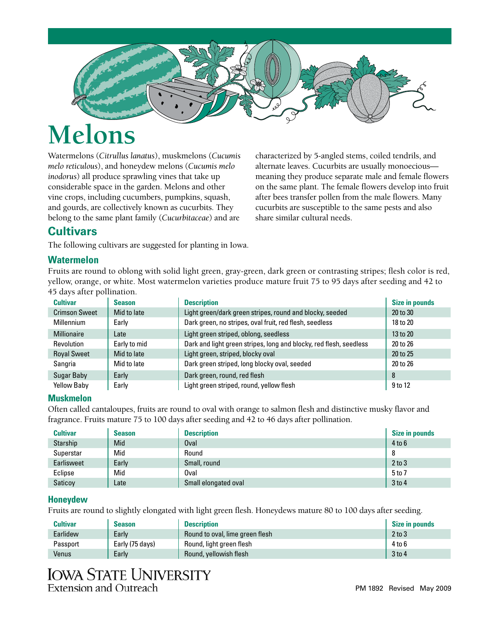

# **Melons**

Watermelons (*Citrullus lanatus*), muskmelons (*Cucumis melo reticulous*), and honeydew melons (*Cucumis melo inodorus*) all produce sprawling vines that take up considerable space in the garden. Melons and other vine crops, including cucumbers, pumpkins, squash, and gourds, are collectively known as cucurbits. They belong to the same plant family (*Cucurbitaceae*) and are

characterized by 5-angled stems, coiled tendrils, and alternate leaves. Cucurbits are usually monoecious meaning they produce separate male and female flowers on the same plant. The female flowers develop into fruit after bees transfer pollen from the male flowers. Many cucurbits are susceptible to the same pests and also share similar cultural needs.

# **Cultivars**

The following cultivars are suggested for planting in Iowa.

#### **Watermelon**

Fruits are round to oblong with solid light green, gray-green, dark green or contrasting stripes; flesh color is red, yellow, orange, or white. Most watermelon varieties produce mature fruit 75 to 95 days after seeding and 42 to 45 days after pollination.

| <b>Cultivar</b>      | <b>Season</b> | <b>Description</b>                                                 | <b>Size in pounds</b> |
|----------------------|---------------|--------------------------------------------------------------------|-----------------------|
| <b>Crimson Sweet</b> | Mid to late   | Light green/dark green stripes, round and blocky, seeded           | 20 to 30              |
| <b>Millennium</b>    | Early         | Dark green, no stripes, oval fruit, red flesh, seedless            | 18 to 20              |
| <b>Millionaire</b>   | Late          | Light green striped, oblong, seedless                              | 13 to 20              |
| <b>Revolution</b>    | Early to mid  | Dark and light green stripes, long and blocky, red flesh, seedless | 20 to 26              |
| <b>Royal Sweet</b>   | Mid to late   | Light green, striped, blocky oval                                  | 20 to 25              |
| Sangria              | Mid to late   | Dark green striped, long blocky oval, seeded                       | 20 to 26              |
| Sugar Baby           | Early         | Dark green, round, red flesh                                       | 8                     |
| <b>Yellow Baby</b>   | Early         | Light green striped, round, yellow flesh                           | 9 to 12               |

#### **Muskmelon**

Often called cantaloupes, fruits are round to oval with orange to salmon flesh and distinctive musky flavor and fragrance. Fruits mature 75 to 100 days after seeding and 42 to 46 days after pollination.

| <b>Cultivar</b> | <b>Season</b> | <b>Description</b>   | Size in pounds |
|-----------------|---------------|----------------------|----------------|
| Starship        | Mid           | Oval                 | $4$ to $6$     |
| Superstar       | Mid           | Round                | 8              |
| Earlisweet      | Early         | Small, round         | $2$ to $3$     |
| Eclipse         | Mid           | Oval                 | 5 to 7         |
| Saticoy         | Late          | Small elongated oval | $3$ to 4       |

#### **Honeydew**

Fruits are round to slightly elongated with light green flesh. Honeydews mature 80 to 100 days after seeding.

| <b>Cultivar</b> | <b>Season</b>   | <b>Description</b>              | Size in pounds |
|-----------------|-----------------|---------------------------------|----------------|
| Earlidew        | Early           | Round to oval, lime green flesh | $2$ to $3$     |
| Passport        | Early (75 days) | Round, light green flesh        | 4 to 6         |
| Venus           | Early           | Round, yellowish flesh          | $3$ to 4       |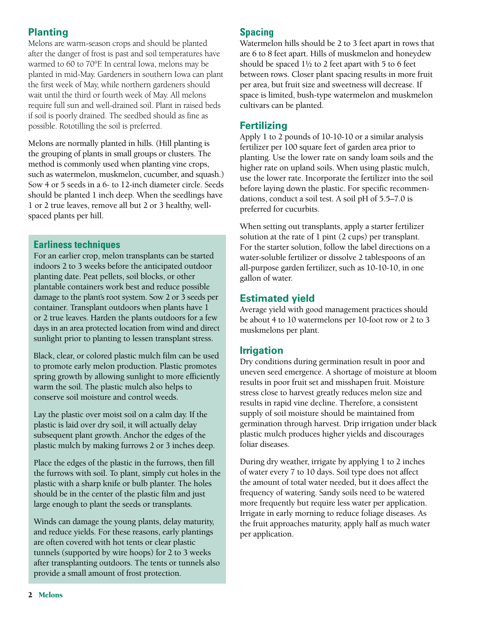# **Planting**

Melons are warm-season crops and should be planted after the danger of frost is past and soil temperatures have warmed to 60 to 70°F. In central Iowa, melons may be planted in mid-May. Gardeners in southern Iowa can plant the first week of May, while northern gardeners should wait until the third or fourth week of May. All melons require full sun and well-drained soil. Plant in raised beds if soil is poorly drained. The seedbed should as fine as possible. Rototilling the soil is preferred.

Melons are normally planted in hills. (Hill planting is the grouping of plants in small groups or clusters. The method is commonly used when planting vine crops, such as watermelon, muskmelon, cucumber, and squash.) Sow 4 or 5 seeds in a 6- to 12-inch diameter circle. Seeds should be planted 1 inch deep. When the seedlings have 1 or 2 true leaves, remove all but 2 or 3 healthy, wellspaced plants per hill.

#### **Earliness techniques**

For an earlier crop, melon transplants can be started indoors 2 to 3 weeks before the anticipated outdoor planting date. Peat pellets, soil blocks, or other plantable containers work best and reduce possible damage to the plant's root system. Sow 2 or 3 seeds per container. Transplant outdoors when plants have 1 or 2 true leaves. Harden the plants outdoors for a few days in an area protected location from wind and direct sunlight prior to planting to lessen transplant stress.

Black, clear, or colored plastic mulch film can be used to promote early melon production. Plastic promotes spring growth by allowing sunlight to more efficiently warm the soil. The plastic mulch also helps to conserve soil moisture and control weeds.

Lay the plastic over moist soil on a calm day. If the plastic is laid over dry soil, it will actually delay subsequent plant growth. Anchor the edges of the plastic mulch by making furrows 2 or 3 inches deep.

Place the edges of the plastic in the furrows, then fill the furrows with soil. To plant, simply cut holes in the plastic with a sharp knife or bulb planter. The holes should be in the center of the plastic film and just large enough to plant the seeds or transplants.

Winds can damage the young plants, delay maturity, and reduce yields. For these reasons, early plantings are often covered with hot tents or clear plastic tunnels (supported by wire hoops) for 2 to 3 weeks after transplanting outdoors. The tents or tunnels also provide a small amount of frost protection.

### **Spacing**

Watermelon hills should be 2 to 3 feet apart in rows that are 6 to 8 feet apart. Hills of muskmelon and honeydew should be spaced  $1\frac{1}{2}$  to 2 feet apart with 5 to 6 feet between rows. Closer plant spacing results in more fruit per area, but fruit size and sweetness will decrease. If space is limited, bush-type watermelon and muskmelon cultivars can be planted.

### **Fertilizing**

Apply 1 to 2 pounds of 10-10-10 or a similar analysis fertilizer per 100 square feet of garden area prior to planting. Use the lower rate on sandy loam soils and the higher rate on upland soils. When using plastic mulch, use the lower rate. Incorporate the fertilizer into the soil before laying down the plastic. For specific recommendations, conduct a soil test. A soil pH of 5.5–7.0 is preferred for cucurbits.

When setting out transplants, apply a starter fertilizer solution at the rate of 1 pint (2 cups) per transplant. For the starter solution, follow the label directions on a water-soluble fertilizer or dissolve 2 tablespoons of an all-purpose garden fertilizer, such as 10-10-10, in one gallon of water.

# **Estimated yield**

Average yield with good management practices should be about 4 to 10 watermelons per 10-foot row or 2 to 3 muskmelons per plant.

## **Irrigation**

Dry conditions during germination result in poor and uneven seed emergence. A shortage of moisture at bloom results in poor fruit set and misshapen fruit. Moisture stress close to harvest greatly reduces melon size and results in rapid vine decline. Therefore, a consistent supply of soil moisture should be maintained from germination through harvest. Drip irrigation under black plastic mulch produces higher yields and discourages foliar diseases.

During dry weather, irrigate by applying 1 to 2 inches of water every 7 to 10 days. Soil type does not affect the amount of total water needed, but it does affect the frequency of watering. Sandy soils need to be watered more frequently but require less water per application. Irrigate in early morning to reduce foliage diseases. As the fruit approaches maturity, apply half as much water per application.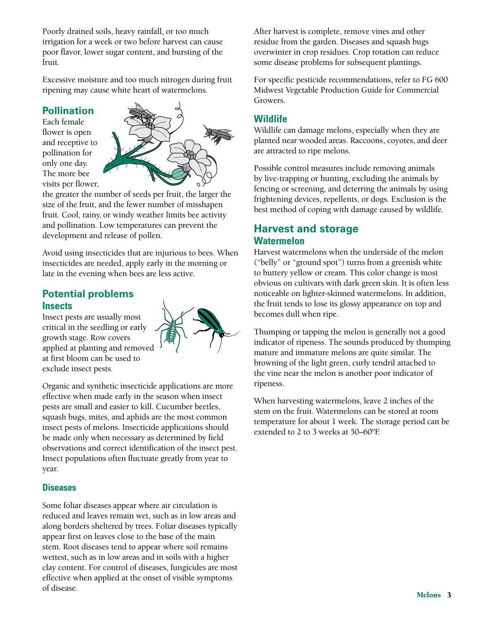Poorly drained soils, heavy rainfall, or too much irrigation for a week or two before harvest can cause poor flavor, lower sugar content, and bursting of the fruit.

Excessive moisture and too much nitrogen during fruit ripening may cause white heart of watermelons.

#### **Pollination**

Each female flower is open and receptive to pollination for only one day. The more bee visits per flower,



the greater the number of seeds per fruit, the larger the size of the fruit, and the fewer number of misshapen fruit. Cool, rainy, or windy weather limits bee activity and pollination. Low temperatures can prevent the development and release of pollen.

Avoid using insecticides that are injurious to bees. When insecticides are needed, apply early in the morning or late in the evening when bees are less active.

#### **Potential problems Insects**

Insect pests are usually most critical in the seedling or early growth stage. Row covers applied at planting and removed at first bloom can be used to exclude insect pests.



Organic and synthetic insecticide applications are more effective when made early in the season when insect pests are small and easier to kill. Cucumber beetles, squash bugs, mites, and aphids are the most common insect pests of melons. Insecticide applications should be made only when necessary as determined by field observations and correct identification of the insect pest. Insect populations often fluctuate greatly from year to year.

#### **Diseases**

Some foliar diseases appear where air circulation is reduced and leaves remain wet, such as in low areas and along borders sheltered by trees. Foliar diseases typically appear first on leaves close to the base of the main stem. Root diseases tend to appear where soil remains wettest, such as in low areas and in soils with a higher clay content. For control of diseases, fungicides are most effective when applied at the onset of visible symptoms of disease.

After harvest is complete, remove vines and other residue from the garden. Diseases and squash bugs overwinter in crop residues. Crop rotation can reduce some disease problems for subsequent plantings.

For specific pesticide recommendations, refer to FG 600 Midwest Vegetable Production Guide for Commercial Growers.

#### **Wildlife**

Wildlife can damage melons, especially when they are planted near wooded areas. Raccoons, coyotes, and deer are attracted to ripe melons.

Possible control measures include removing animals by live-trapping or hunting, excluding the animals by fencing or screening, and deterring the animals by using frightening devices, repellents, or dogs. Exclusion is the best method of coping with damage caused by wildlife.

## **Harvest and storage Watermelon**

Harvest watermelons when the underside of the melon ("belly" or "ground spot") turns from a greenish white to buttery yellow or cream. This color change is most obvious on cultivars with dark green skin. It is often less noticeable on lighter-skinned watermelons. In addition, the fruit tends to lose its glossy appearance on top and becomes dull when ripe.

Thumping or tapping the melon is generally not a good indicator of ripeness. The sounds produced by thumping mature and immature melons are quite similar. The browning of the light green, curly tendril attached to the vine near the melon is another poor indicator of ripeness.

When harvesting watermelons, leave 2 inches of the stem on the fruit. Watermelons can be stored at room temperature for about 1 week. The storage period can be extended to 2 to 3 weeks at 50–60°F.